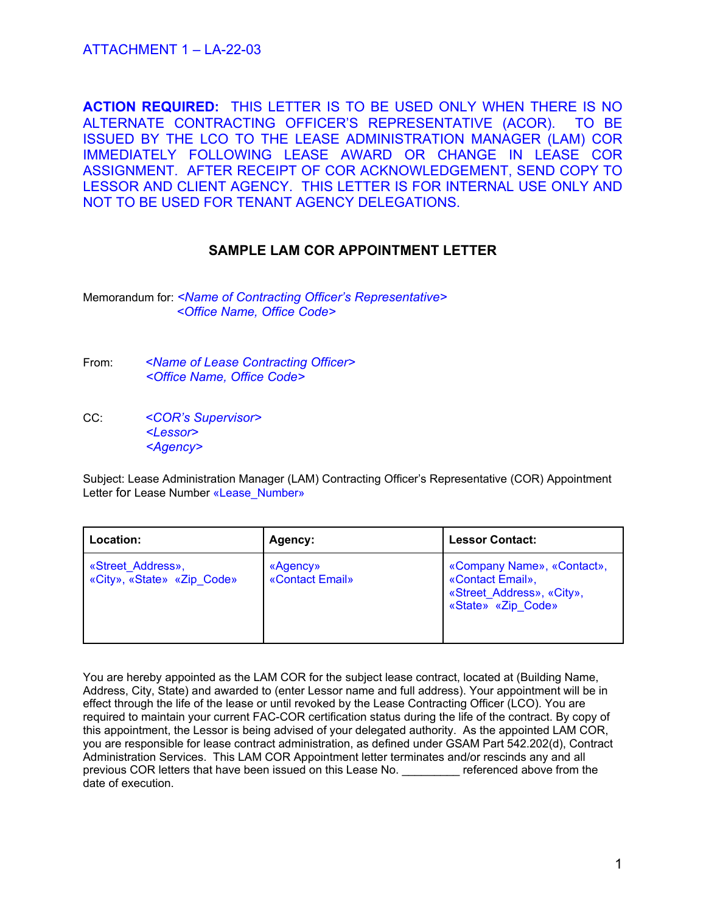**ACTION REQUIRED:** THIS LETTER IS TO BE USED ONLY WHEN THERE IS NO ALTERNATE CONTRACTING OFFICER'S REPRESENTATIVE (ACOR). TO BE ISSUED BY THE LCO TO THE LEASE ADMINISTRATION MANAGER (LAM) COR IMMEDIATELY FOLLOWING LEASE AWARD OR CHANGE IN LEASE COR ASSIGNMENT. AFTER RECEIPT OF COR ACKNOWLEDGEMENT, SEND COPY TO LESSOR AND CLIENT AGENCY. THIS LETTER IS FOR INTERNAL USE ONLY AND NOT TO BE USED FOR TENANT AGENCY DELEGATIONS.

### **SAMPLE LAM COR APPOINTMENT LETTER**

Memorandum for: *<Name of Contracting Officer's Representative> <Office Name, Office Code>*

- From: *<Name of Lease Contracting Officer> <Office Name, Office Code>*
- CC: *<COR's Supervisor> <Lessor> <Agency>*

Subject: Lease Administration Manager (LAM) Contracting Officer's Representative (COR) Appointment Letter for Lease Number «Lease\_Number»

| Location:                                       | Agency:                     | <b>Lessor Contact:</b>                                                                            |
|-------------------------------------------------|-----------------------------|---------------------------------------------------------------------------------------------------|
| «Street Address»,<br>«City», «State» «Zip Code» | «Agency»<br>«Contact Email» | «Company Name», «Contact»,<br>«Contact Email»,<br>«Street Address», «City»,<br>«State» «Zip Code» |

You are hereby appointed as the LAM COR for the subject lease contract, located at (Building Name, Address, City, State) and awarded to (enter Lessor name and full address). Your appointment will be in effect through the life of the lease or until revoked by the Lease Contracting Officer (LCO). You are required to maintain your current FAC-COR certification status during the life of the contract. By copy of this appointment, the Lessor is being advised of your delegated authority. As the appointed LAM COR, you are responsible for lease contract administration, as defined under GSAM Part 542.202(d), Contract Administration Services. This LAM COR Appointment letter terminates and/or rescinds any and all previous COR letters that have been issued on this Lease No. \_\_\_\_\_\_\_\_\_ referenced above from the date of execution.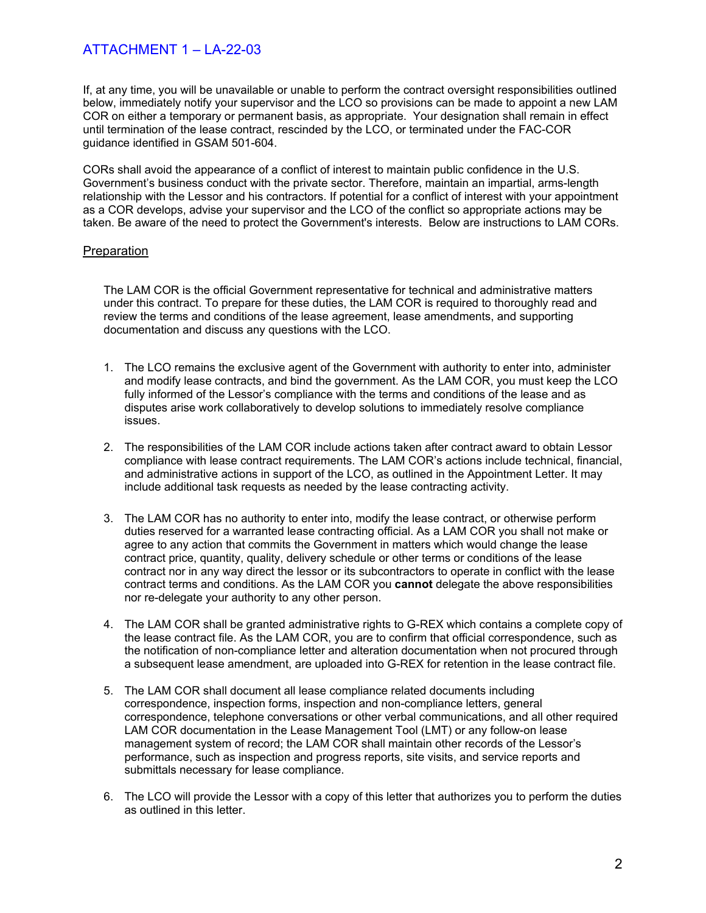## ATTACHMENT 1 – LA-22-03

If, at any time, you will be unavailable or unable to perform the contract oversight responsibilities outlined below, immediately notify your supervisor and the LCO so provisions can be made to appoint a new LAM COR on either a temporary or permanent basis, as appropriate. Your designation shall remain in effect until termination of the lease contract, rescinded by the LCO, or terminated under the FAC-COR guidance identified in GSAM 501-604.

CORs shall avoid the appearance of a conflict of interest to maintain public confidence in the U.S. Government's business conduct with the private sector. Therefore, maintain an impartial, arms-length relationship with the Lessor and his contractors. If potential for a conflict of interest with your appointment as a COR develops, advise your supervisor and the LCO of the conflict so appropriate actions may be taken. Be aware of the need to protect the Government's interests. Below are instructions to LAM CORs.

### **Preparation**

The LAM COR is the official Government representative for technical and administrative matters under this contract. To prepare for these duties, the LAM COR is required to thoroughly read and review the terms and conditions of the lease agreement, lease amendments, and supporting documentation and discuss any questions with the LCO.

- 1. The LCO remains the exclusive agent of the Government with authority to enter into, administer and modify lease contracts, and bind the government. As the LAM COR, you must keep the LCO fully informed of the Lessor's compliance with the terms and conditions of the lease and as disputes arise work collaboratively to develop solutions to immediately resolve compliance issues.
- 2. The responsibilities of the LAM COR include actions taken after contract award to obtain Lessor compliance with lease contract requirements. The LAM COR's actions include technical, financial, and administrative actions in support of the LCO, as outlined in the Appointment Letter. It may include additional task requests as needed by the lease contracting activity.
- 3. The LAM COR has no authority to enter into, modify the lease contract, or otherwise perform duties reserved for a warranted lease contracting official. As a LAM COR you shall not make or agree to any action that commits the Government in matters which would change the lease contract price, quantity, quality, delivery schedule or other terms or conditions of the lease contract nor in any way direct the lessor or its subcontractors to operate in conflict with the lease contract terms and conditions. As the LAM COR you **cannot** delegate the above responsibilities nor re-delegate your authority to any other person.
- 4. The LAM COR shall be granted administrative rights to G-REX which contains a complete copy of the lease contract file. As the LAM COR, you are to confirm that official correspondence, such as the notification of non-compliance letter and alteration documentation when not procured through a subsequent lease amendment, are uploaded into G-REX for retention in the lease contract file.
- 5. The LAM COR shall document all lease compliance related documents including correspondence, inspection forms, inspection and non-compliance letters, general correspondence, telephone conversations or other verbal communications, and all other required LAM COR documentation in the Lease Management Tool (LMT) or any follow-on lease management system of record; the LAM COR shall maintain other records of the Lessor's performance, such as inspection and progress reports, site visits, and service reports and submittals necessary for lease compliance.
- 6. The LCO will provide the Lessor with a copy of this letter that authorizes you to perform the duties as outlined in this letter.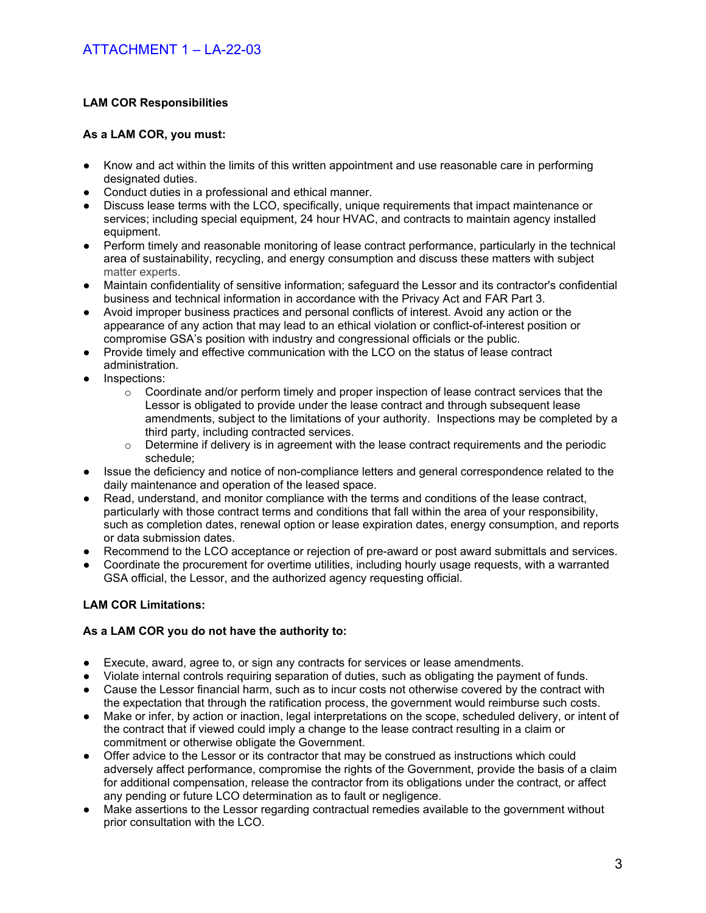### **LAM COR Responsibilities**

### **As a LAM COR, you must:**

- Know and act within the limits of this written appointment and use reasonable care in performing designated duties.
- Conduct duties in a professional and ethical manner.
- Discuss lease terms with the LCO, specifically, unique requirements that impact maintenance or services; including special equipment, 24 hour HVAC, and contracts to maintain agency installed equipment.
- Perform timely and reasonable monitoring of lease contract performance, particularly in the technical area of sustainability, recycling, and energy consumption and discuss these matters with subject matter experts.
- Maintain confidentiality of sensitive information; safeguard the Lessor and its contractor's confidential business and technical information in accordance with the Privacy Act and FAR Part 3.
- Avoid improper business practices and personal conflicts of interest. Avoid any action or the appearance of any action that may lead to an ethical violation or conflict-of-interest position or compromise GSA's position with industry and congressional officials or the public.
- Provide timely and effective communication with the LCO on the status of lease contract administration.
- Inspections:
	- $\circ$  Coordinate and/or perform timely and proper inspection of lease contract services that the Lessor is obligated to provide under the lease contract and through subsequent lease amendments, subject to the limitations of your authority. Inspections may be completed by a third party, including contracted services.
	- $\circ$  Determine if delivery is in agreement with the lease contract requirements and the periodic schedule;
- Issue the deficiency and notice of non-compliance letters and general correspondence related to the daily maintenance and operation of the leased space.
- Read, understand, and monitor compliance with the terms and conditions of the lease contract, particularly with those contract terms and conditions that fall within the area of your responsibility, such as completion dates, renewal option or lease expiration dates, energy consumption, and reports or data submission dates.
- Recommend to the LCO acceptance or rejection of pre-award or post award submittals and services.
- Coordinate the procurement for overtime utilities, including hourly usage requests, with a warranted GSA official, the Lessor, and the authorized agency requesting official.

### **LAM COR Limitations:**

### **As a LAM COR you do not have the authority to:**

- Execute, award, agree to, or sign any contracts for services or lease amendments.
- Violate internal controls requiring separation of duties, such as obligating the payment of funds.
- Cause the Lessor financial harm, such as to incur costs not otherwise covered by the contract with the expectation that through the ratification process, the government would reimburse such costs.
- Make or infer, by action or inaction, legal interpretations on the scope, scheduled delivery, or intent of the contract that if viewed could imply a change to the lease contract resulting in a claim or commitment or otherwise obligate the Government.
- Offer advice to the Lessor or its contractor that may be construed as instructions which could adversely affect performance, compromise the rights of the Government, provide the basis of a claim for additional compensation, release the contractor from its obligations under the contract, or affect any pending or future LCO determination as to fault or negligence.
- Make assertions to the Lessor regarding contractual remedies available to the government without prior consultation with the LCO.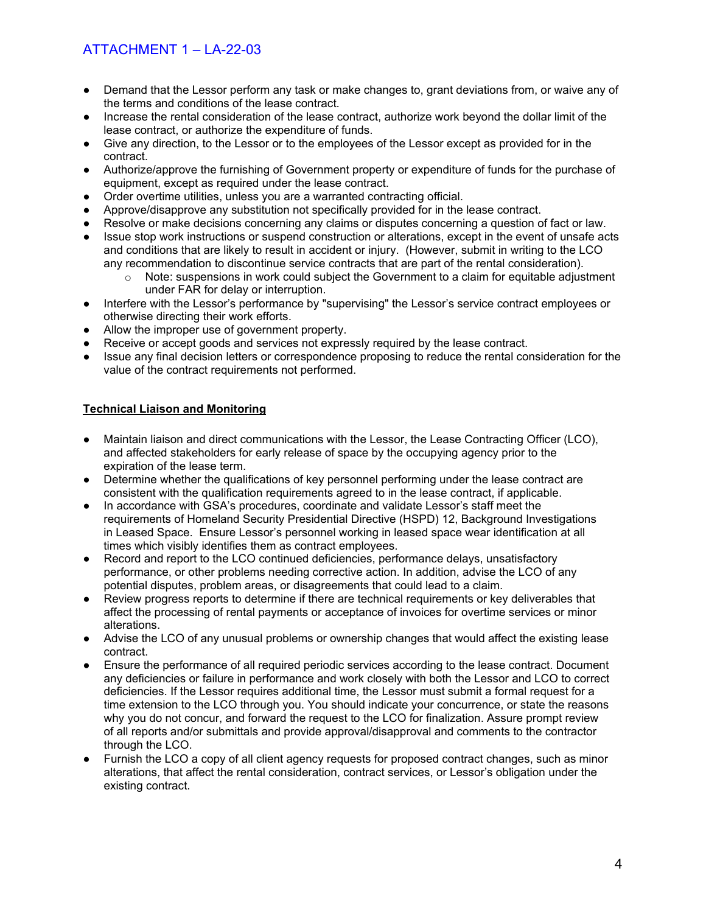# ATTACHMENT 1 – LA-22-03

- Demand that the Lessor perform any task or make changes to, grant deviations from, or waive any of the terms and conditions of the lease contract.
- Increase the rental consideration of the lease contract, authorize work beyond the dollar limit of the lease contract, or authorize the expenditure of funds.
- Give any direction, to the Lessor or to the employees of the Lessor except as provided for in the contract.
- Authorize/approve the furnishing of Government property or expenditure of funds for the purchase of equipment, except as required under the lease contract.
- Order overtime utilities, unless you are a warranted contracting official.
- Approve/disapprove any substitution not specifically provided for in the lease contract.
- Resolve or make decisions concerning any claims or disputes concerning a question of fact or law.
- Issue stop work instructions or suspend construction or alterations, except in the event of unsafe acts and conditions that are likely to result in accident or injury. (However, submit in writing to the LCO any recommendation to discontinue service contracts that are part of the rental consideration).
	- Note: suspensions in work could subject the Government to a claim for equitable adjustment under FAR for delay or interruption.
- Interfere with the Lessor's performance by "supervising" the Lessor's service contract employees or otherwise directing their work efforts.
- Allow the improper use of government property.
- Receive or accept goods and services not expressly required by the lease contract.
- Issue any final decision letters or correspondence proposing to reduce the rental consideration for the value of the contract requirements not performed.

### **Technical Liaison and Monitoring**

- Maintain liaison and direct communications with the Lessor, the Lease Contracting Officer (LCO), and affected stakeholders for early release of space by the occupying agency prior to the expiration of the lease term.
- Determine whether the qualifications of key personnel performing under the lease contract are consistent with the qualification requirements agreed to in the lease contract, if applicable.
- In accordance with GSA's procedures, coordinate and validate Lessor's staff meet the requirements of Homeland Security Presidential Directive (HSPD) 12, Background Investigations in Leased Space. Ensure Lessor's personnel working in leased space wear identification at all times which visibly identifies them as contract employees.
- Record and report to the LCO continued deficiencies, performance delays, unsatisfactory performance, or other problems needing corrective action. In addition, advise the LCO of any potential disputes, problem areas, or disagreements that could lead to a claim.
- Review progress reports to determine if there are technical requirements or key deliverables that affect the processing of rental payments or acceptance of invoices for overtime services or minor alterations.
- Advise the LCO of any unusual problems or ownership changes that would affect the existing lease contract.
- Ensure the performance of all required periodic services according to the lease contract. Document any deficiencies or failure in performance and work closely with both the Lessor and LCO to correct deficiencies. If the Lessor requires additional time, the Lessor must submit a formal request for a time extension to the LCO through you. You should indicate your concurrence, or state the reasons why you do not concur, and forward the request to the LCO for finalization. Assure prompt review of all reports and/or submittals and provide approval/disapproval and comments to the contractor through the LCO.
- Furnish the LCO a copy of all client agency requests for proposed contract changes, such as minor alterations, that affect the rental consideration, contract services, or Lessor's obligation under the existing contract.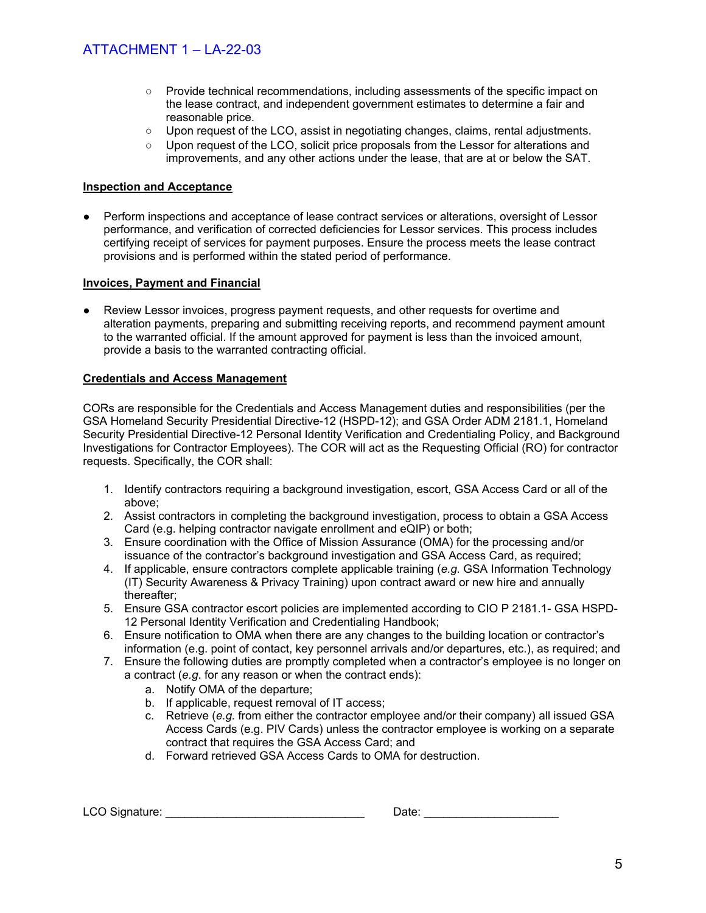- Provide technical recommendations, including assessments of the specific impact on the lease contract, and independent government estimates to determine a fair and reasonable price.
- $\circ$  Upon request of the LCO, assist in negotiating changes, claims, rental adjustments.
- Upon request of the LCO, solicit price proposals from the Lessor for alterations and improvements, and any other actions under the lease, that are at or below the SAT.

### **Inspection and Acceptance**

Perform inspections and acceptance of lease contract services or alterations, oversight of Lessor performance, and verification of corrected deficiencies for Lessor services. This process includes certifying receipt of services for payment purposes. Ensure the process meets the lease contract provisions and is performed within the stated period of performance.

### **Invoices, Payment and Financial**

Review Lessor invoices, progress payment requests, and other requests for overtime and alteration payments, preparing and submitting receiving reports, and recommend payment amount to the warranted official. If the amount approved for payment is less than the invoiced amount, provide a basis to the warranted contracting official.

### **Credentials and Access Management**

CORs are responsible for the Credentials and Access Management duties and responsibilities (per the GSA Homeland Security Presidential Directive-12 (HSPD-12); and GSA Order ADM 2181.1, Homeland Security Presidential Directive-12 Personal Identity Verification and Credentialing Policy, and Background Investigations for Contractor Employees). The COR will act as the Requesting Official (RO) for contractor requests. Specifically, the COR shall:

- 1. Identify contractors requiring a background investigation, escort, GSA Access Card or all of the above;
- 2. Assist contractors in completing the background investigation, process to obtain a GSA Access Card (e.g. helping contractor navigate enrollment and eQIP) or both;
- 3. Ensure coordination with the Office of Mission Assurance (OMA) for the processing and/or issuance of the contractor's background investigation and GSA Access Card, as required;
- 4. If applicable, ensure contractors complete applicable training (*e.g.* GSA Information Technology (IT) Security Awareness & Privacy Training) upon contract award or new hire and annually thereafter;
- 5. Ensure GSA contractor escort policies are implemented according to CIO P 2181.1- GSA HSPD-12 Personal Identity Verification and Credentialing Handbook;
- 6. Ensure notification to OMA when there are any changes to the building location or contractor's information (e.g. point of contact, key personnel arrivals and/or departures, etc.), as required; and
- 7. Ensure the following duties are promptly completed when a contractor's employee is no longer on a contract (*e.g*. for any reason or when the contract ends):
	- a. Notify OMA of the departure;
	- b. If applicable, request removal of IT access;
	- c. Retrieve (*e.g.* from either the contractor employee and/or their company) all issued GSA Access Cards (e.g. PIV Cards) unless the contractor employee is working on a separate contract that requires the GSA Access Card; and
	- d. Forward retrieved GSA Access Cards to OMA for destruction.

LCO Signature: \_\_\_\_\_\_\_\_\_\_\_\_\_\_\_\_\_\_\_\_\_\_\_\_\_\_\_\_\_\_\_ Date: \_\_\_\_\_\_\_\_\_\_\_\_\_\_\_\_\_\_\_\_\_